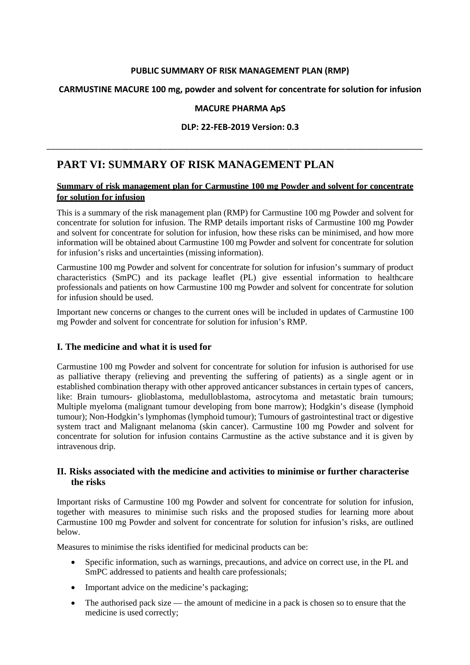## **PUBLIC SUMMARY OF RISK MANAGEMENT PLAN (RMP)**

## **CARMUSTINE MACURE 100 mg, powder and solvent for concentrate for solution for infusion**

### **MACURE PHARMA ApS**

#### **DLP: 22-FEB-2019 Version: 0.3**

# **PART VI: SUMMARY OF RISK MANAGEMENT PLAN**

## **Summary of risk management plan for Carmustine 100 mg Powder and solvent for concentrate for solution for infusion**

\_\_\_\_\_\_\_\_\_\_\_\_\_\_\_\_\_\_\_\_\_\_\_\_\_\_\_\_\_\_\_\_\_\_\_\_\_\_\_\_\_\_\_\_\_\_\_\_\_\_\_\_\_\_\_\_\_\_\_\_\_\_\_\_\_\_\_\_\_\_\_\_\_\_\_\_\_\_\_\_\_\_\_\_\_\_\_

This is a summary of the risk management plan (RMP) for Carmustine 100 mg Powder and solvent for concentrate for solution for infusion. The RMP details important risks of Carmustine 100 mg Powder and solvent for concentrate for solution for infusion, how these risks can be minimised, and how more information will be obtained about Carmustine 100 mg Powder and solvent for concentrate for solution for infusion's risks and uncertainties (missing information).

Carmustine 100 mg Powder and solvent for concentrate for solution for infusion's summary of product characteristics (SmPC) and its package leaflet (PL) give essential information to healthcare professionals and patients on how Carmustine 100 mg Powder and solvent for concentrate for solution for infusion should be used.

Important new concerns or changes to the current ones will be included in updates of Carmustine 100 mg Powder and solvent for concentrate for solution for infusion's RMP.

## **I. The medicine and what it is used for**

Carmustine 100 mg Powder and solvent for concentrate for solution for infusion is authorised for use as palliative therapy (relieving and preventing the suffering of patients) as a single agent or in established combination therapy with other approved anticancer substances in certain types of cancers, like: Brain tumours- glioblastoma, medulloblastoma, astrocytoma and metastatic brain tumours; Multiple myeloma (malignant tumour developing from bone marrow); Hodgkin's disease (lymphoid tumour); Non-Hodgkin's lymphomas (lymphoid tumour); Tumours of gastrointestinal tract or digestive system tract and Malignant melanoma (skin cancer). Carmustine 100 mg Powder and solvent for concentrate for solution for infusion contains Carmustine as the active substance and it is given by intravenous drip.

## **II. Risks associated with the medicine and activities to minimise or further characterise the risks**

Important risks of Carmustine 100 mg Powder and solvent for concentrate for solution for infusion, together with measures to minimise such risks and the proposed studies for learning more about Carmustine 100 mg Powder and solvent for concentrate for solution for infusion's risks, are outlined below.

Measures to minimise the risks identified for medicinal products can be:

- Specific information, such as warnings, precautions, and advice on correct use, in the PL and SmPC addressed to patients and health care professionals;
- Important advice on the medicine's packaging;
- The authorised pack size the amount of medicine in a pack is chosen so to ensure that the medicine is used correctly;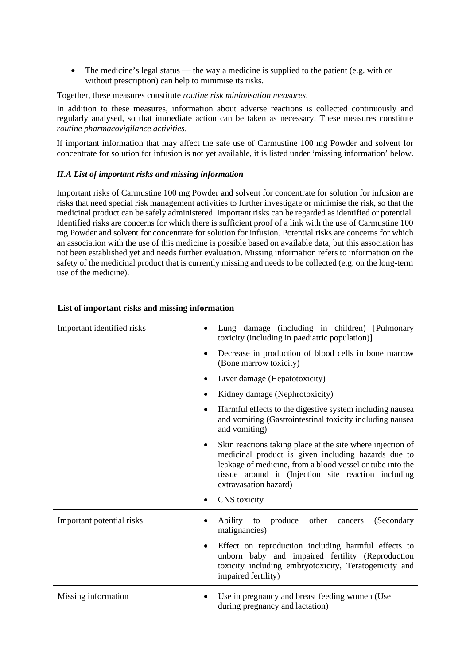• The medicine's legal status — the way a medicine is supplied to the patient (e.g. with or without prescription) can help to minimise its risks.

Together, these measures constitute *routine risk minimisation measures*.

In addition to these measures, information about adverse reactions is collected continuously and regularly analysed, so that immediate action can be taken as necessary. These measures constitute *routine pharmacovigilance activities*.

If important information that may affect the safe use of Carmustine 100 mg Powder and solvent for concentrate for solution for infusion is not yet available, it is listed under 'missing information' below.

#### *II.A List of important risks and missing information*

Important risks of Carmustine 100 mg Powder and solvent for concentrate for solution for infusion are risks that need special risk management activities to further investigate or minimise the risk, so that the medicinal product can be safely administered. Important risks can be regarded as identified or potential. Identified risks are concerns for which there is sufficient proof of a link with the use of Carmustine 100 mg Powder and solvent for concentrate for solution for infusion. Potential risks are concerns for which an association with the use of this medicine is possible based on available data, but this association has not been established yet and needs further evaluation. Missing information refers to information on the safety of the medicinal product that is currently missing and needs to be collected (e.g. on the long-term use of the medicine).

| List of important risks and missing information |                                                                                                                                                                                                                                                                             |
|-------------------------------------------------|-----------------------------------------------------------------------------------------------------------------------------------------------------------------------------------------------------------------------------------------------------------------------------|
| Important identified risks                      | Lung damage (including in children) [Pulmonary<br>toxicity (including in paediatric population)]                                                                                                                                                                            |
|                                                 | Decrease in production of blood cells in bone marrow<br>(Bone marrow toxicity)                                                                                                                                                                                              |
|                                                 | Liver damage (Hepatotoxicity)                                                                                                                                                                                                                                               |
|                                                 | Kidney damage (Nephrotoxicity)<br>$\bullet$                                                                                                                                                                                                                                 |
|                                                 | Harmful effects to the digestive system including nausea<br>$\bullet$<br>and vomiting (Gastrointestinal toxicity including nausea<br>and vomiting)                                                                                                                          |
|                                                 | Skin reactions taking place at the site where injection of<br>$\bullet$<br>medicinal product is given including hazards due to<br>leakage of medicine, from a blood vessel or tube into the<br>tissue around it (Injection site reaction including<br>extravasation hazard) |
|                                                 | CNS toxicity                                                                                                                                                                                                                                                                |
| Important potential risks                       | other<br>Ability to<br>produce<br>(Secondary<br>cancers<br>malignancies)                                                                                                                                                                                                    |
|                                                 | Effect on reproduction including harmful effects to<br>$\bullet$<br>unborn baby and impaired fertility (Reproduction<br>toxicity including embryotoxicity, Teratogenicity and<br>impaired fertility)                                                                        |
| Missing information                             | Use in pregnancy and breast feeding women (Use<br>during pregnancy and lactation)                                                                                                                                                                                           |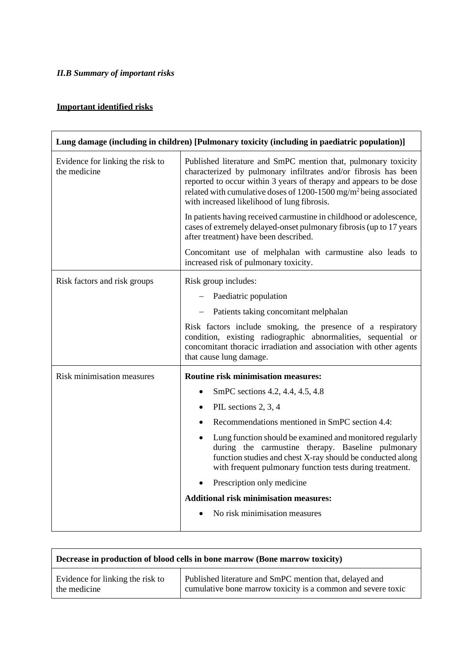## *II.B Summary of important risks*

## **Important identified risks**

| Lung damage (including in children) [Pulmonary toxicity (including in paediatric population)] |                                                                                                                                                                                                                                                                                                                                         |
|-----------------------------------------------------------------------------------------------|-----------------------------------------------------------------------------------------------------------------------------------------------------------------------------------------------------------------------------------------------------------------------------------------------------------------------------------------|
| Evidence for linking the risk to<br>the medicine                                              | Published literature and SmPC mention that, pulmonary toxicity<br>characterized by pulmonary infiltrates and/or fibrosis has been<br>reported to occur within 3 years of therapy and appears to be dose<br>related with cumulative doses of 1200-1500 mg/m <sup>2</sup> being associated<br>with increased likelihood of lung fibrosis. |
|                                                                                               | In patients having received carmustine in childhood or adolescence,<br>cases of extremely delayed-onset pulmonary fibrosis (up to 17 years<br>after treatment) have been described.                                                                                                                                                     |
|                                                                                               | Concomitant use of melphalan with carmustine also leads to<br>increased risk of pulmonary toxicity.                                                                                                                                                                                                                                     |
| Risk factors and risk groups                                                                  | Risk group includes:                                                                                                                                                                                                                                                                                                                    |
|                                                                                               | Paediatric population                                                                                                                                                                                                                                                                                                                   |
|                                                                                               | Patients taking concomitant melphalan                                                                                                                                                                                                                                                                                                   |
|                                                                                               | Risk factors include smoking, the presence of a respiratory<br>condition, existing radiographic abnormalities, sequential or<br>concomitant thoracic irradiation and association with other agents<br>that cause lung damage.                                                                                                           |
| Risk minimisation measures                                                                    | <b>Routine risk minimisation measures:</b>                                                                                                                                                                                                                                                                                              |
|                                                                                               | SmPC sections 4.2, 4.4, 4.5, 4.8<br>$\bullet$                                                                                                                                                                                                                                                                                           |
|                                                                                               | PIL sections 2, 3, 4<br>$\bullet$                                                                                                                                                                                                                                                                                                       |
|                                                                                               | Recommendations mentioned in SmPC section 4.4:                                                                                                                                                                                                                                                                                          |
|                                                                                               | Lung function should be examined and monitored regularly<br>during the carmustine therapy. Baseline pulmonary<br>function studies and chest X-ray should be conducted along<br>with frequent pulmonary function tests during treatment.                                                                                                 |
|                                                                                               | Prescription only medicine                                                                                                                                                                                                                                                                                                              |
|                                                                                               | <b>Additional risk minimisation measures:</b>                                                                                                                                                                                                                                                                                           |
|                                                                                               | No risk minimisation measures                                                                                                                                                                                                                                                                                                           |

| Decrease in production of blood cells in bone marrow (Bone marrow toxicity) |                                                              |
|-----------------------------------------------------------------------------|--------------------------------------------------------------|
| Evidence for linking the risk to                                            | Published literature and SmPC mention that, delayed and      |
| the medicine                                                                | cumulative bone marrow toxicity is a common and severe toxic |

۳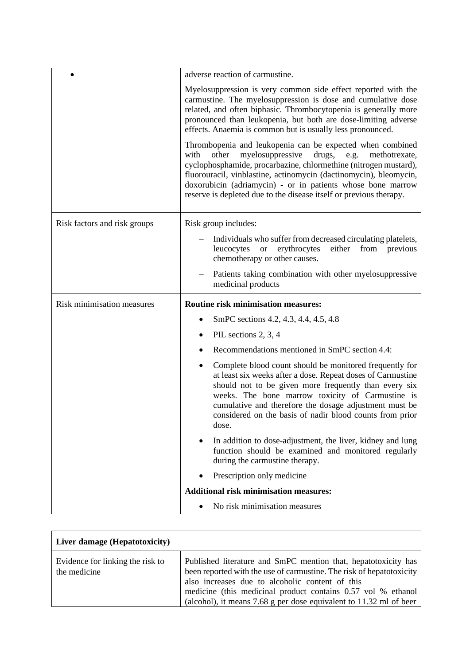|                              | adverse reaction of carmustine.                                                                                                                                                                                                                                                                                                                                                                              |
|------------------------------|--------------------------------------------------------------------------------------------------------------------------------------------------------------------------------------------------------------------------------------------------------------------------------------------------------------------------------------------------------------------------------------------------------------|
|                              | Myelosuppression is very common side effect reported with the<br>carmustine. The myelosuppression is dose and cumulative dose<br>related, and often biphasic. Thrombocytopenia is generally more<br>pronounced than leukopenia, but both are dose-limiting adverse<br>effects. Anaemia is common but is usually less pronounced.                                                                             |
|                              | Thrombopenia and leukopenia can be expected when combined<br>other<br>myelosuppressive<br>drugs, e.g.<br>with<br>methotrexate,<br>cyclophosphamide, procarbazine, chlormethine (nitrogen mustard),<br>fluorouracil, vinblastine, actinomycin (dactinomycin), bleomycin,<br>doxorubicin (adriamycin) - or in patients whose bone marrow<br>reserve is depleted due to the disease itself or previous therapy. |
| Risk factors and risk groups | Risk group includes:                                                                                                                                                                                                                                                                                                                                                                                         |
|                              | Individuals who suffer from decreased circulating platelets,<br>erythrocytes<br>either from<br>leucocytes<br>previous<br><b>or</b><br>chemotherapy or other causes.                                                                                                                                                                                                                                          |
|                              | Patients taking combination with other myelosuppressive<br>medicinal products                                                                                                                                                                                                                                                                                                                                |
| Risk minimisation measures   | <b>Routine risk minimisation measures:</b>                                                                                                                                                                                                                                                                                                                                                                   |
|                              | SmPC sections 4.2, 4.3, 4.4, 4.5, 4.8                                                                                                                                                                                                                                                                                                                                                                        |
|                              | PIL sections 2, 3, 4                                                                                                                                                                                                                                                                                                                                                                                         |
|                              | Recommendations mentioned in SmPC section 4.4:                                                                                                                                                                                                                                                                                                                                                               |
|                              | Complete blood count should be monitored frequently for<br>٠<br>at least six weeks after a dose. Repeat doses of Carmustine<br>should not to be given more frequently than every six<br>weeks. The bone marrow toxicity of Carmustine is<br>cumulative and therefore the dosage adjustment must be<br>considered on the basis of nadir blood counts from prior<br>dose.                                      |
|                              | In addition to dose-adjustment, the liver, kidney and lung<br>function should be examined and monitored regularly<br>during the carmustine therapy.                                                                                                                                                                                                                                                          |
|                              | Prescription only medicine                                                                                                                                                                                                                                                                                                                                                                                   |
|                              | <b>Additional risk minimisation measures:</b>                                                                                                                                                                                                                                                                                                                                                                |
|                              | No risk minimisation measures                                                                                                                                                                                                                                                                                                                                                                                |

| Liver damage (Hepatotoxicity)                    |                                                                                                                                                                                                                                                                                                                                      |
|--------------------------------------------------|--------------------------------------------------------------------------------------------------------------------------------------------------------------------------------------------------------------------------------------------------------------------------------------------------------------------------------------|
| Evidence for linking the risk to<br>the medicine | Published literature and SmPC mention that, hepatotoxicity has<br>been reported with the use of carmustine. The risk of hepatotoxicity<br>also increases due to alcoholic content of this<br>medicine (this medicinal product contains 0.57 vol % ethanol)<br>(alcohol), it means $7.68$ g per dose equivalent to $11.32$ ml of beer |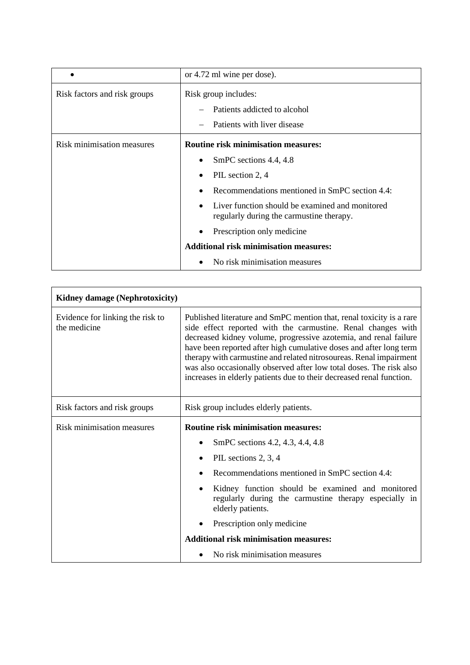|                                   | or 4.72 ml wine per dose).                                                                                                                                                                                                                |
|-----------------------------------|-------------------------------------------------------------------------------------------------------------------------------------------------------------------------------------------------------------------------------------------|
| Risk factors and risk groups      | Risk group includes:<br>Patients addicted to alcohol<br>Patients with liver disease                                                                                                                                                       |
| <b>Risk minimisation measures</b> | <b>Routine risk minimisation measures:</b><br>SmPC sections 4.4, 4.8<br>PIL section 2, 4<br>Recommendations mentioned in SmPC section 4.4:<br>Liver function should be examined and monitored<br>regularly during the carmustine therapy. |
|                                   | Prescription only medicine<br><b>Additional risk minimisation measures:</b><br>No risk minimisation measures                                                                                                                              |

| Kidney damage (Nephrotoxicity)                   |                                                                                                                                                                                                                                                                                                                                                                                                                                                                                                     |
|--------------------------------------------------|-----------------------------------------------------------------------------------------------------------------------------------------------------------------------------------------------------------------------------------------------------------------------------------------------------------------------------------------------------------------------------------------------------------------------------------------------------------------------------------------------------|
| Evidence for linking the risk to<br>the medicine | Published literature and SmPC mention that, renal toxicity is a rare<br>side effect reported with the carmustine. Renal changes with<br>decreased kidney volume, progressive azotemia, and renal failure<br>have been reported after high cumulative doses and after long term<br>therapy with carmustine and related nitrosoureas. Renal impairment<br>was also occasionally observed after low total doses. The risk also<br>increases in elderly patients due to their decreased renal function. |
| Risk factors and risk groups                     | Risk group includes elderly patients.                                                                                                                                                                                                                                                                                                                                                                                                                                                               |
| Risk minimisation measures                       | <b>Routine risk minimisation measures:</b>                                                                                                                                                                                                                                                                                                                                                                                                                                                          |
|                                                  | SmPC sections 4.2, 4.3, 4.4, 4.8<br>$\bullet$                                                                                                                                                                                                                                                                                                                                                                                                                                                       |
|                                                  | PIL sections 2, 3, 4<br>$\bullet$                                                                                                                                                                                                                                                                                                                                                                                                                                                                   |
|                                                  | Recommendations mentioned in SmPC section 4.4:<br>$\bullet$                                                                                                                                                                                                                                                                                                                                                                                                                                         |
|                                                  | Kidney function should be examined and monitored<br>$\bullet$<br>regularly during the carmustine therapy especially in<br>elderly patients.                                                                                                                                                                                                                                                                                                                                                         |
|                                                  | Prescription only medicine<br>٠                                                                                                                                                                                                                                                                                                                                                                                                                                                                     |
|                                                  | <b>Additional risk minimisation measures:</b>                                                                                                                                                                                                                                                                                                                                                                                                                                                       |
|                                                  | No risk minimisation measures                                                                                                                                                                                                                                                                                                                                                                                                                                                                       |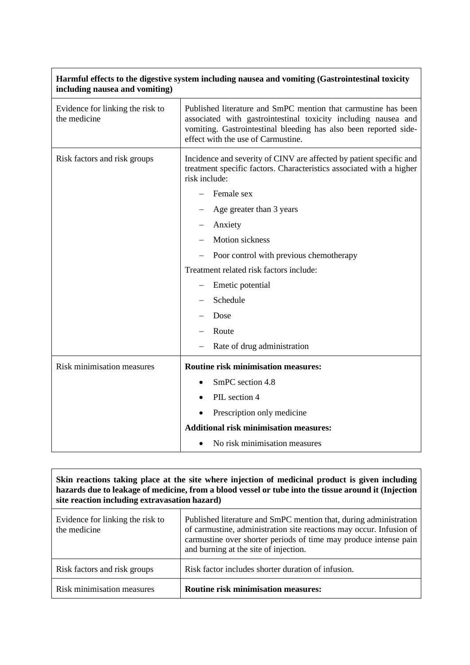| including nausea and vomiting)                   |                                                                                                                                                                                                                                            |
|--------------------------------------------------|--------------------------------------------------------------------------------------------------------------------------------------------------------------------------------------------------------------------------------------------|
| Evidence for linking the risk to<br>the medicine | Published literature and SmPC mention that carmustine has been<br>associated with gastrointestinal toxicity including nausea and<br>vomiting. Gastrointestinal bleeding has also been reported side-<br>effect with the use of Carmustine. |
| Risk factors and risk groups                     | Incidence and severity of CINV are affected by patient specific and<br>treatment specific factors. Characteristics associated with a higher<br>risk include:<br>Female sex                                                                 |
|                                                  | Age greater than 3 years                                                                                                                                                                                                                   |
|                                                  | Anxiety                                                                                                                                                                                                                                    |
|                                                  | <b>Motion</b> sickness                                                                                                                                                                                                                     |
|                                                  | Poor control with previous chemotherapy                                                                                                                                                                                                    |
|                                                  | Treatment related risk factors include:                                                                                                                                                                                                    |
|                                                  | Emetic potential                                                                                                                                                                                                                           |
|                                                  | Schedule                                                                                                                                                                                                                                   |
|                                                  | Dose                                                                                                                                                                                                                                       |
|                                                  | Route                                                                                                                                                                                                                                      |
|                                                  | Rate of drug administration                                                                                                                                                                                                                |
| Risk minimisation measures                       | <b>Routine risk minimisation measures:</b>                                                                                                                                                                                                 |
|                                                  | SmPC section 4.8<br>$\bullet$                                                                                                                                                                                                              |
|                                                  | PIL section 4                                                                                                                                                                                                                              |
|                                                  | Prescription only medicine                                                                                                                                                                                                                 |
|                                                  | <b>Additional risk minimisation measures:</b>                                                                                                                                                                                              |
|                                                  | No risk minimisation measures                                                                                                                                                                                                              |

**Harmful effects to the digestive system including nausea and vomiting (Gastrointestinal toxicity** 

| Skin reactions taking place at the site where injection of medicinal product is given including<br>hazards due to leakage of medicine, from a blood vessel or tube into the tissue around it (Injection<br>site reaction including extravasation hazard) |                                                                                                                                                                                                                                                       |
|----------------------------------------------------------------------------------------------------------------------------------------------------------------------------------------------------------------------------------------------------------|-------------------------------------------------------------------------------------------------------------------------------------------------------------------------------------------------------------------------------------------------------|
| Evidence for linking the risk to<br>the medicine                                                                                                                                                                                                         | Published literature and SmPC mention that, during administration<br>of carmustine, administration site reactions may occur. Infusion of<br>carmustine over shorter periods of time may produce intense pain<br>and burning at the site of injection. |
| Risk factors and risk groups                                                                                                                                                                                                                             | Risk factor includes shorter duration of infusion.                                                                                                                                                                                                    |

Risk minimisation measures **Routine risk minimisation measures:**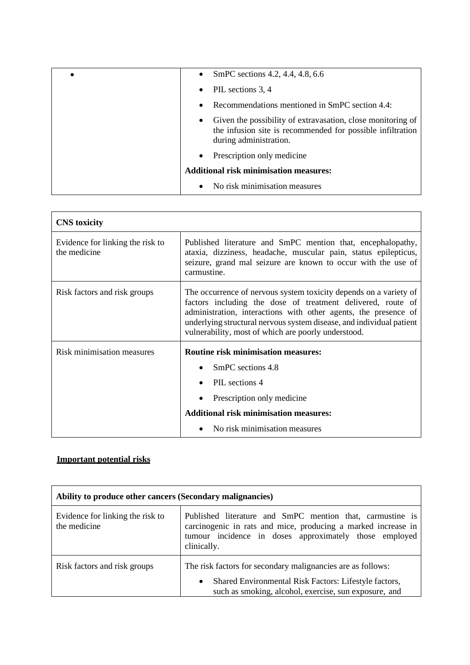| SmPC sections 4.2, 4.4, 4.8, 6.6<br>$\bullet$                                                                                                                    |
|------------------------------------------------------------------------------------------------------------------------------------------------------------------|
| PIL sections 3, 4<br>٠                                                                                                                                           |
| Recommendations mentioned in SmPC section 4.4:<br>٠                                                                                                              |
| Given the possibility of extravasation, close monitoring of<br>$\bullet$<br>the infusion site is recommended for possible infiltration<br>during administration. |
| Prescription only medicine.<br>$\bullet$                                                                                                                         |
| <b>Additional risk minimisation measures:</b>                                                                                                                    |
| No risk minimisation measures<br>$\bullet$                                                                                                                       |

| <b>CNS</b> toxicity                              |                                                                                                                                                                                                                                                                                                                                    |
|--------------------------------------------------|------------------------------------------------------------------------------------------------------------------------------------------------------------------------------------------------------------------------------------------------------------------------------------------------------------------------------------|
| Evidence for linking the risk to<br>the medicine | Published literature and SmPC mention that, encephalopathy,<br>ataxia, dizziness, headache, muscular pain, status epilepticus,<br>seizure, grand mal seizure are known to occur with the use of<br>carmustine.                                                                                                                     |
| Risk factors and risk groups                     | The occurrence of nervous system toxicity depends on a variety of<br>factors including the dose of treatment delivered, route of<br>administration, interactions with other agents, the presence of<br>underlying structural nervous system disease, and individual patient<br>vulnerability, most of which are poorly understood. |
| <b>Risk minimisation measures</b>                | <b>Routine risk minimisation measures:</b><br>SmPC sections 4.8<br>PIL sections 4<br>Prescription only medicine<br><b>Additional risk minimisation measures:</b><br>No risk minimisation measures                                                                                                                                  |

## **Important potential risks**

| Ability to produce other cancers (Secondary malignancies) |                                                                                                                                                                                                     |
|-----------------------------------------------------------|-----------------------------------------------------------------------------------------------------------------------------------------------------------------------------------------------------|
| Evidence for linking the risk to<br>the medicine          | Published literature and SmPC mention that, carmustine is<br>carcinogenic in rats and mice, producing a marked increase in<br>tumour incidence in doses approximately those employed<br>clinically. |
| Risk factors and risk groups                              | The risk factors for secondary malignancies are as follows:<br>Shared Environmental Risk Factors: Lifestyle factors,<br>$\bullet$<br>such as smoking, alcohol, exercise, sun exposure, and          |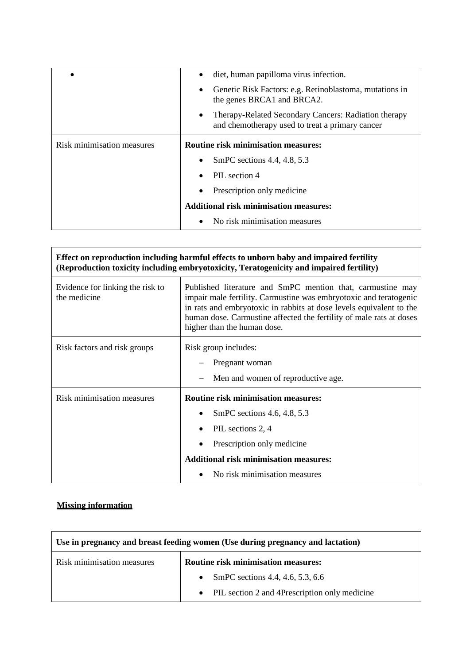|                            | diet, human papilloma virus infection.                                                                               |
|----------------------------|----------------------------------------------------------------------------------------------------------------------|
|                            | Genetic Risk Factors: e.g. Retinoblastoma, mutations in<br>٠<br>the genes BRCA1 and BRCA2.                           |
|                            | Therapy-Related Secondary Cancers: Radiation therapy<br>$\bullet$<br>and chemotherapy used to treat a primary cancer |
| Risk minimisation measures | <b>Routine risk minimisation measures:</b>                                                                           |
|                            | SmPC sections 4.4, 4.8, 5.3                                                                                          |
|                            | PIL section 4                                                                                                        |
|                            | Prescription only medicine<br>٠                                                                                      |
|                            | <b>Additional risk minimisation measures:</b>                                                                        |
|                            | No risk minimisation measures                                                                                        |

| Effect on reproduction including harmful effects to unborn baby and impaired fertility<br>(Reproduction toxicity including embryotoxicity, Teratogenicity and impaired fertility) |                                                                                                                                                                                                                                                                                                              |  |
|-----------------------------------------------------------------------------------------------------------------------------------------------------------------------------------|--------------------------------------------------------------------------------------------------------------------------------------------------------------------------------------------------------------------------------------------------------------------------------------------------------------|--|
| Evidence for linking the risk to<br>the medicine                                                                                                                                  | Published literature and SmPC mention that, carmustine may<br>impair male fertility. Carmustine was embryotoxic and teratogenic<br>in rats and embryotoxic in rabbits at dose levels equivalent to the<br>human dose. Carmustine affected the fertility of male rats at doses<br>higher than the human dose. |  |
| Risk factors and risk groups                                                                                                                                                      | Risk group includes:<br>Pregnant woman<br>Men and women of reproductive age.                                                                                                                                                                                                                                 |  |
| Risk minimisation measures                                                                                                                                                        | <b>Routine risk minimisation measures:</b><br>SmPC sections 4.6, 4.8, 5.3<br>PIL sections 2, 4<br>Prescription only medicine<br><b>Additional risk minimisation measures:</b><br>No risk minimisation measures                                                                                               |  |

# **Missing information**

| Use in pregnancy and breast feeding women (Use during pregnancy and lactation) |                                               |  |
|--------------------------------------------------------------------------------|-----------------------------------------------|--|
| Risk minimisation measures                                                     | <b>Routine risk minimisation measures:</b>    |  |
|                                                                                | SmPC sections 4.4, 4.6, 5.3, 6.6              |  |
|                                                                                | PIL section 2 and 4Prescription only medicine |  |